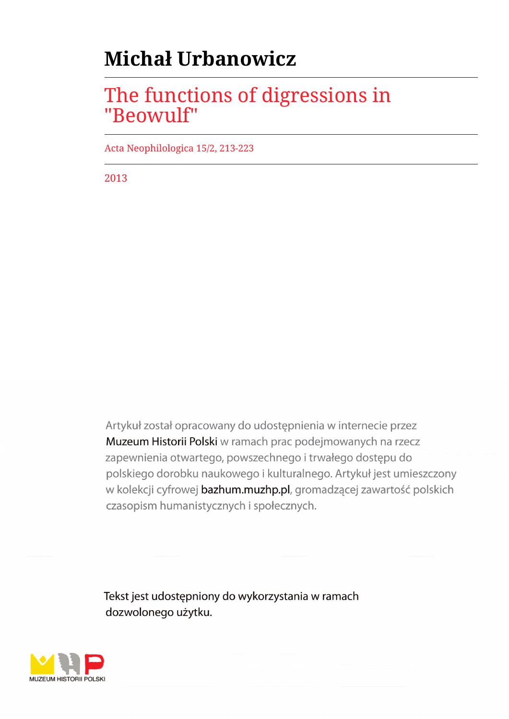# **Michał Urbanowicz**

## The functions of digressions in "Beowulf"

Acta Neophilologica 15/2, 213-223

2013

Artykuł został opracowany do udostępnienia w internecie przez Muzeum Historii Polski w ramach prac podejmowanych na rzecz zapewnienia otwartego, powszechnego i trwałego dostępu do polskiego dorobku naukowego i kulturalnego. Artykuł jest umieszczony w kolekcji cyfrowej bazhum.muzhp.pl, gromadzącej zawartość polskich czasopism humanistycznych i społecznych.

Tekst jest udostępniony do wykorzystania w ramach dozwolonego użytku.

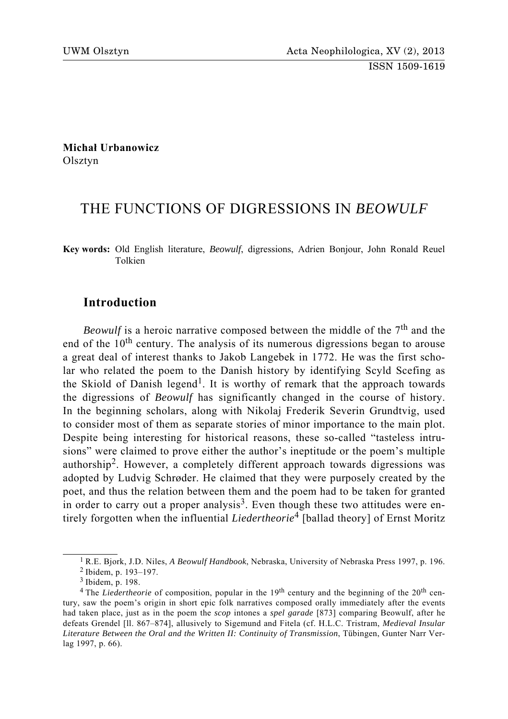**Michał Urbanowicz** Olsztyn

## THE FUNCTIONS OF DIGRESSIONS IN *BEOWULF*

**Key words:** Old English literature, *Beowulf*, digressions, Adrien Bonjour, John Ronald Reuel Tolkien

## **Introduction**

*Beowulf* is a heroic narrative composed between the middle of the  $7<sup>th</sup>$  and the end of the 10<sup>th</sup> century. The analysis of its numerous digressions began to arouse a great deal of interest thanks to Jakob Langebek in 1772. He was the first scholar who related the poem to the Danish history by identifying Scyld Scefing as the Skiold of Danish legend<sup>1</sup>. It is worthy of remark that the approach towards the digressions of *Beowulf* has significantly changed in the course of history. In the beginning scholars, along with Nikolaj Frederik Severin Grundtvig, used to consider most of them as separate stories of minor importance to the main plot. Despite being interesting for historical reasons, these so-called "tasteless intrusions" were claimed to prove either the author's ineptitude or the poem's multiple authorship2. However, a completely different approach towards digressions was adopted by Ludvig Schrøder. He claimed that they were purposely created by the poet, and thus the relation between them and the poem had to be taken for granted in order to carry out a proper analysis<sup>3</sup>. Even though these two attitudes were entirely forgotten when the influential *Liedertheorie*4 [ballad theory] of Ernst Moritz

<sup>1</sup> R.E. Bjork, J.D. Niles, *A Beowulf Handbook*, Nebraska, University of Nebraska Press 1997, p. 196. 2 Ibidem, p. 193–197.

<sup>3</sup> Ibidem, p. 198.

<sup>&</sup>lt;sup>4</sup> The *Liedertheorie* of composition, popular in the 19<sup>th</sup> century and the beginning of the 20<sup>th</sup> century, saw the poem's origin in short epic folk narratives composed orally immediately after the events had taken place, just as in the poem the *scop* intones a *spel garade* [873] comparing Beowulf, after he defeats Grendel [ll. 867–874], allusively to Sigemund and Fitela (cf. H.L.C. Tristram, *Medieval Insular Literature Between the Oral and the Written II: Continuity of Transmission*, Tübingen, Gunter Narr Verlag 1997, p. 66).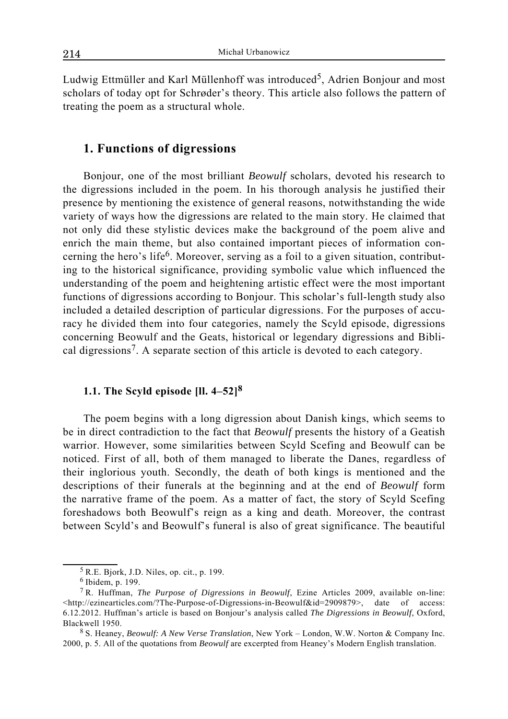Ludwig Ettmüller and Karl Müllenhoff was introduced<sup>5</sup>, Adrien Bonjour and most scholars of today opt for Schrøder's theory. This article also follows the pattern of treating the poem as a structural whole.

### **1. Functions of digressions**

Bonjour, one of the most brilliant *Beowulf* scholars, devoted his research to the digressions included in the poem. In his thorough analysis he justified their presence by mentioning the existence of general reasons, notwithstanding the wide variety of ways how the digressions are related to the main story. He claimed that not only did these stylistic devices make the background of the poem alive and enrich the main theme, but also contained important pieces of information concerning the hero's life6. Moreover, serving as a foil to a given situation, contributing to the historical significance, providing symbolic value which influenced the understanding of the poem and heightening artistic effect were the most important functions of digressions according to Bonjour. This scholar's full-length study also included a detailed description of particular digressions. For the purposes of accuracy he divided them into four categories, namely the Scyld episode, digressions concerning Beowulf and the Geats, historical or legendary digressions and Biblical digressions<sup>7</sup>. A separate section of this article is devoted to each category.

## **1.1. The Scyld episode [ll. 4–52]<sup>8</sup>**

The poem begins with a long digression about Danish kings, which seems to be in direct contradiction to the fact that *Beowulf* presents the history of a Geatish warrior. However, some similarities between Scyld Scefing and Beowulf can be noticed. First of all, both of them managed to liberate the Danes, regardless of their inglorious youth. Secondly, the death of both kings is mentioned and the descriptions of their funerals at the beginning and at the end of *Beowulf* form the narrative frame of the poem. As a matter of fact, the story of Scyld Scefing foreshadows both Beowulf's reign as a king and death. Moreover, the contrast between Scyld's and Beowulf's funeral is also of great significance. The beautiful

<sup>5</sup> R.E. Bjork, J.D. Niles, op. cit., p. 199.

<sup>6</sup> Ibidem, p. 199.

<sup>7</sup> R. Huffman, *The Purpose of Digressions in Beowulf*, Ezine Articles 2009, available on-line: <http://ezinearticles.com/?The-Purpose-of-Digressions-in-Beowulf&id=2909879>, date of access: 6.12.2012. Huffman's article is based on Bonjour's analysis called *The Digressions in Beowulf*, Oxford, Blackwell 1950.

<sup>8</sup> S. Heaney, *Beowulf: A New Verse Translation*, New York – London, W.W. Norton & Company Inc. 2000, p. 5. All of the quotations from *Beowulf* are excerpted from Heaney's Modern English translation.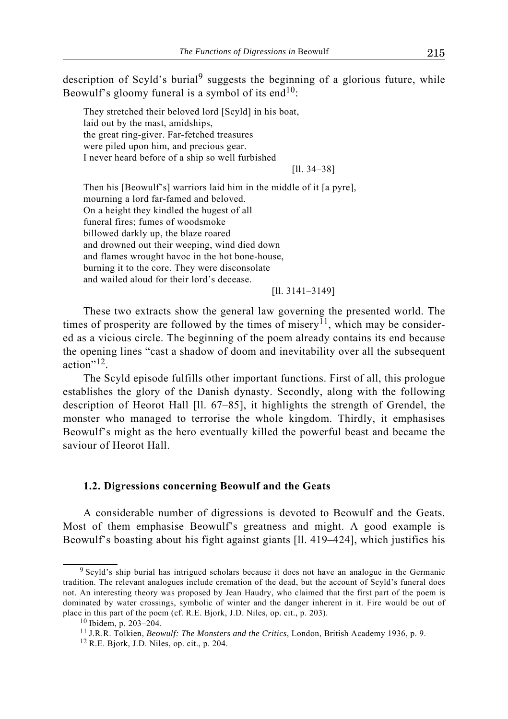description of Scyld's burial<sup>9</sup> suggests the beginning of a glorious future, while Beowulf's gloomy funeral is a symbol of its end<sup>10</sup>:

They stretched their beloved lord [Scyld] in his boat, laid out by the mast, amidships, the great ring-giver. Far-fetched treasures were piled upon him, and precious gear. I never heard before of a ship so well furbished

[ll. 34–38]

Then his [Beowulf's] warriors laid him in the middle of it [a pyre], mourning a lord far-famed and beloved. On a height they kindled the hugest of all funeral fires; fumes of woodsmoke billowed darkly up, the blaze roared and drowned out their weeping, wind died down and flames wrought havoc in the hot bone-house, burning it to the core. They were disconsolate and wailed aloud for their lord's decease.

[ll. 3141–3149]

These two extracts show the general law governing the presented world. The times of prosperity are followed by the times of misery<sup>11</sup>, which may be considered as a vicious circle. The beginning of the poem already contains its end because the opening lines "cast a shadow of doom and inevitability over all the subsequent action"12.

The Scyld episode fulfills other important functions. First of all, this prologue establishes the glory of the Danish dynasty. Secondly, along with the following description of Heorot Hall [ll. 67–85], it highlights the strength of Grendel, the monster who managed to terrorise the whole kingdom. Thirdly, it emphasises Beowulf's might as the hero eventually killed the powerful beast and became the saviour of Heorot Hall.

#### **1.2. Digressions concerning Beowulf and the Geats**

A considerable number of digressions is devoted to Beowulf and the Geats. Most of them emphasise Beowulf's greatness and might. A good example is Beowulf's boasting about his fight against giants [ll. 419–424], which justifies his

<sup>9</sup> Scyld's ship burial has intrigued scholars because it does not have an analogue in the Germanic tradition. The relevant analogues include cremation of the dead, but the account of Scyld's funeral does not. An interesting theory was proposed by Jean Haudry, who claimed that the first part of the poem is dominated by water crossings, symbolic of winter and the danger inherent in it. Fire would be out of place in this part of the poem (cf. R.E. Bjork, J.D. Niles, op. cit., p. 203). 10 Ibidem, p. 203–204.

<sup>11</sup> J.R.R. Tolkien, *Beowulf: The Monsters and the Critics*, London, British Academy 1936, p. 9.

 $12$  R.E. Bjork, J.D. Niles, op. cit., p. 204.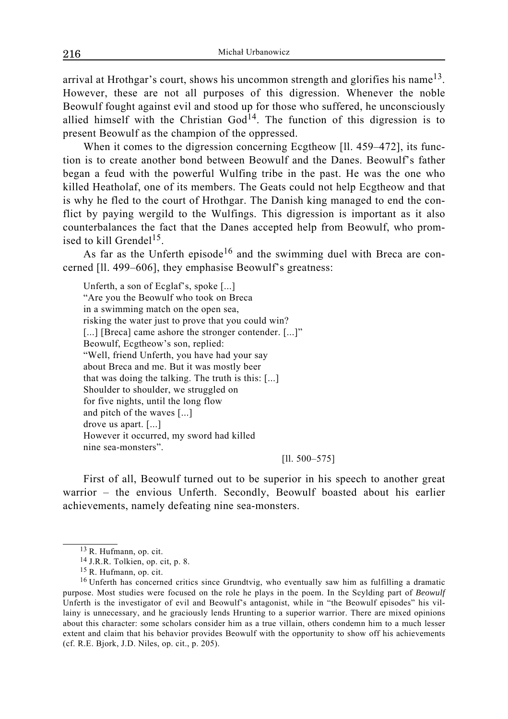arrival at Hrothgar's court, shows his uncommon strength and glorifies his name<sup>13</sup>. However, these are not all purposes of this digression. Whenever the noble Beowulf fought against evil and stood up for those who suffered, he unconsciously allied himself with the Christian  $God<sup>14</sup>$ . The function of this digression is to present Beowulf as the champion of the oppressed.

When it comes to the digression concerning Ecgtheow [11, 459–472], its function is to create another bond between Beowulf and the Danes. Beowulf's father began a feud with the powerful Wulfing tribe in the past. He was the one who killed Heatholaf, one of its members. The Geats could not help Ecgtheow and that is why he fled to the court of Hrothgar. The Danish king managed to end the conflict by paying wergild to the Wulfings. This digression is important as it also counterbalances the fact that the Danes accepted help from Beowulf, who promised to kill Grendel<sup>15</sup>.

As far as the Unferth episode<sup>16</sup> and the swimming duel with Breca are concerned [ll. 499–606], they emphasise Beowulf's greatness:

Unferth, a son of Ecglaf's, spoke [...] "Are you the Beowulf who took on Breca in a swimming match on the open sea, risking the water just to prove that you could win? [...] [Breca] came ashore the stronger contender. [...]" Beowulf, Ecgtheow's son, replied: "Well, friend Unferth, you have had your say about Breca and me. But it was mostly beer that was doing the talking. The truth is this: [...] Shoulder to shoulder, we struggled on for five nights, until the long flow and pitch of the waves [...] drove us apart. [...] However it occurred, my sword had killed nine sea-monsters".

#### [ll. 500–575]

First of all, Beowulf turned out to be superior in his speech to another great warrior – the envious Unferth. Secondly, Beowulf boasted about his earlier achievements, namely defeating nine sea-monsters.

<sup>13</sup> R. Hufmann, op. cit.

<sup>14</sup> J.R.R. Tolkien, op. cit, p. 8.

<sup>15</sup> R. Hufmann, op. cit.

<sup>&</sup>lt;sup>16</sup> Unferth has concerned critics since Grundtvig, who eventually saw him as fulfilling a dramatic purpose. Most studies were focused on the role he plays in the poem. In the Scylding part of *Beowulf* Unferth is the investigator of evil and Beowulf's antagonist, while in "the Beowulf episodes" his villainy is unnecessary, and he graciously lends Hrunting to a superior warrior. There are mixed opinions about this character: some scholars consider him as a true villain, others condemn him to a much lesser extent and claim that his behavior provides Beowulf with the opportunity to show off his achievements (cf. R.E. Bjork, J.D. Niles, op. cit., p. 205).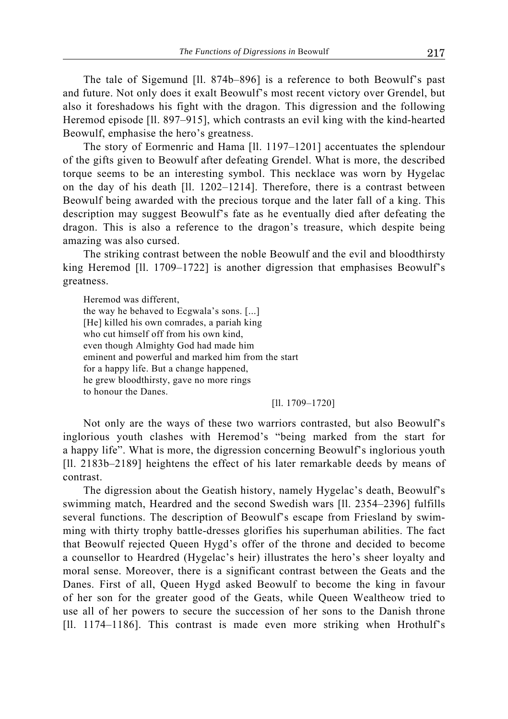The tale of Sigemund [ll. 874b–896] is a reference to both Beowulf's past and future. Not only does it exalt Beowulf's most recent victory over Grendel, but also it foreshadows his fight with the dragon. This digression and the following Heremod episode [ll. 897–915], which contrasts an evil king with the kind-hearted Beowulf, emphasise the hero's greatness.

The story of Eormenric and Hama [ll. 1197–1201] accentuates the splendour of the gifts given to Beowulf after defeating Grendel. What is more, the described torque seems to be an interesting symbol. This necklace was worn by Hygelac on the day of his death [ll. 1202–1214]. Therefore, there is a contrast between Beowulf being awarded with the precious torque and the later fall of a king. This description may suggest Beowulf's fate as he eventually died after defeating the dragon. This is also a reference to the dragon's treasure, which despite being amazing was also cursed.

The striking contrast between the noble Beowulf and the evil and bloodthirsty king Heremod [ll. 1709–1722] is another digression that emphasises Beowulf's greatness.

Heremod was different, the way he behaved to Ecgwala's sons. [...] [He] killed his own comrades, a pariah king who cut himself off from his own kind, even though Almighty God had made him eminent and powerful and marked him from the start for a happy life. But a change happened, he grew bloodthirsty, gave no more rings to honour the Danes.

[ll. 1709–1720]

Not only are the ways of these two warriors contrasted, but also Beowulf's inglorious youth clashes with Heremod's "being marked from the start for a happy life". What is more, the digression concerning Beowulf's inglorious youth [Il. 2183b–2189] heightens the effect of his later remarkable deeds by means of contrast.

The digression about the Geatish history, namely Hygelac's death, Beowulf's swimming match, Heardred and the second Swedish wars [ll. 2354–2396] fulfills several functions. The description of Beowulf's escape from Friesland by swimming with thirty trophy battle-dresses glorifies his superhuman abilities. The fact that Beowulf rejected Queen Hygd's offer of the throne and decided to become a counsellor to Heardred (Hygelac's heir) illustrates the hero's sheer loyalty and moral sense. Moreover, there is a significant contrast between the Geats and the Danes. First of all, Queen Hygd asked Beowulf to become the king in favour of her son for the greater good of the Geats, while Queen Wealtheow tried to use all of her powers to secure the succession of her sons to the Danish throne [Il. 1174–1186]. This contrast is made even more striking when Hrothulf's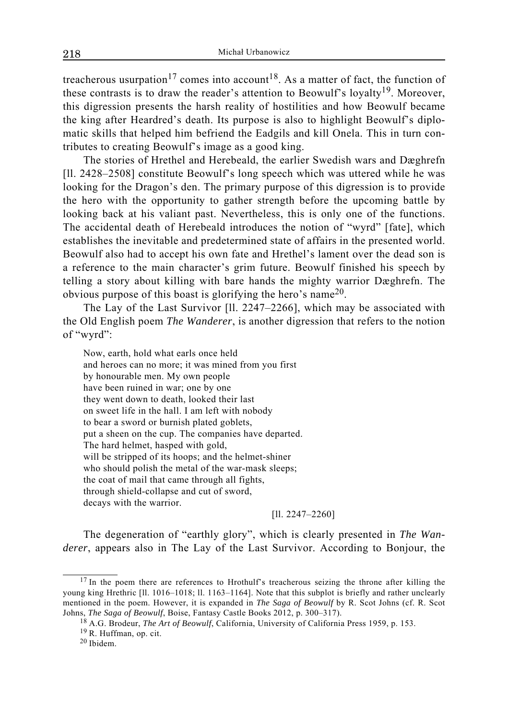treacherous usurpation<sup>17</sup> comes into account<sup>18</sup>. As a matter of fact, the function of these contrasts is to draw the reader's attention to Beowulf's loyalty<sup>19</sup>. Moreover, this digression presents the harsh reality of hostilities and how Beowulf became the king after Heardred's death. Its purpose is also to highlight Beowulf's diplomatic skills that helped him befriend the Eadgils and kill Onela. This in turn contributes to creating Beowulf's image as a good king.

The stories of Hrethel and Herebeald, the earlier Swedish wars and Dæghrefn [ll. 2428–2508] constitute Beowulf's long speech which was uttered while he was looking for the Dragon's den. The primary purpose of this digression is to provide the hero with the opportunity to gather strength before the upcoming battle by looking back at his valiant past. Nevertheless, this is only one of the functions. The accidental death of Herebeald introduces the notion of "wyrd" [fate], which establishes the inevitable and predetermined state of affairs in the presented world. Beowulf also had to accept his own fate and Hrethel's lament over the dead son is a reference to the main character's grim future. Beowulf finished his speech by telling a story about killing with bare hands the mighty warrior Dæghrefn. The obvious purpose of this boast is glorifying the hero's name20.

The Lay of the Last Survivor [ll. 2247–2266], which may be associated with the Old English poem *The Wanderer*, is another digression that refers to the notion of "wyrd":

Now, earth, hold what earls once held and heroes can no more; it was mined from you first by honourable men. My own people have been ruined in war; one by one they went down to death, looked their last on sweet life in the hall. I am left with nobody to bear a sword or burnish plated goblets, put a sheen on the cup. The companies have departed. The hard helmet, hasped with gold, will be stripped of its hoops; and the helmet-shiner who should polish the metal of the war-mask sleeps; the coat of mail that came through all fights, through shield-collapse and cut of sword, decays with the warrior.

[ll. 2247–2260]

The degeneration of "earthly glory", which is clearly presented in *The Wanderer*, appears also in The Lay of the Last Survivor. According to Bonjour, the

 $17$  In the poem there are references to Hrothulf's treacherous seizing the throne after killing the young king Hrethric [ll. 1016–1018; ll. 1163–1164]. Note that this subplot is briefly and rather unclearly mentioned in the poem. However, it is expanded in *The Saga of Beowulf* by R. Scot Johns (cf. R. Scot Johns, *The Saga of Beowulf*, Boise, Fantasy Castle Books 2012, p. 300–317).

<sup>18</sup> A.G. Brodeur, *The Art of Beowulf*, California, University of California Press 1959, p. 153.

<sup>19</sup> R. Huffman, op. cit.

<sup>20</sup> Ibidem.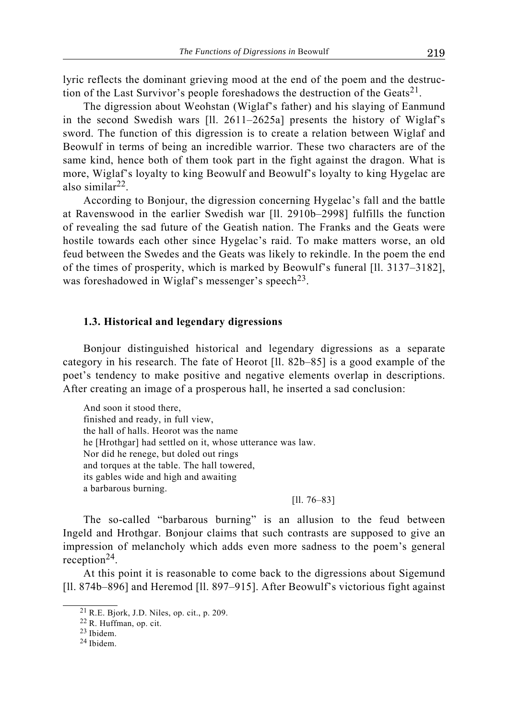lyric reflects the dominant grieving mood at the end of the poem and the destruction of the Last Survivor's people foreshadows the destruction of the Geats<sup>21</sup>.

The digression about Weohstan (Wiglaf's father) and his slaying of Eanmund in the second Swedish wars [ll. 2611–2625a] presents the history of Wiglaf's sword. The function of this digression is to create a relation between Wiglaf and Beowulf in terms of being an incredible warrior. These two characters are of the same kind, hence both of them took part in the fight against the dragon. What is more, Wiglaf's loyalty to king Beowulf and Beowulf's loyalty to king Hygelac are also similar22.

According to Bonjour, the digression concerning Hygelac's fall and the battle at Ravenswood in the earlier Swedish war [ll. 2910b–2998] fulfills the function of revealing the sad future of the Geatish nation. The Franks and the Geats were hostile towards each other since Hygelac's raid. To make matters worse, an old feud between the Swedes and the Geats was likely to rekindle. In the poem the end of the times of prosperity, which is marked by Beowulf's funeral [ll. 3137–3182], was foreshadowed in Wiglaf's messenger's speech<sup>23</sup>.

#### **1.3. Historical and legendary digressions**

Bonjour distinguished historical and legendary digressions as a separate category in his research. The fate of Heorot [ll. 82b–85] is a good example of the poet's tendency to make positive and negative elements overlap in descriptions. After creating an image of a prosperous hall, he inserted a sad conclusion:

And soon it stood there, finished and ready, in full view, the hall of halls. Heorot was the name he [Hrothgar] had settled on it, whose utterance was law. Nor did he renege, but doled out rings and torques at the table. The hall towered, its gables wide and high and awaiting a barbarous burning.

[ll. 76–83]

The so-called "barbarous burning" is an allusion to the feud between Ingeld and Hrothgar. Bonjour claims that such contrasts are supposed to give an impression of melancholy which adds even more sadness to the poem's general reception<sup>24</sup>.

At this point it is reasonable to come back to the digressions about Sigemund [Il. 874b–896] and Heremod [Il. 897–915]. After Beowulf's victorious fight against

<sup>21</sup> R.E. Bjork, J.D. Niles, op. cit., p. 209.

<sup>22</sup> R. Huffman, op. cit.

<sup>23</sup> Ibidem.

<sup>24</sup> Ibidem.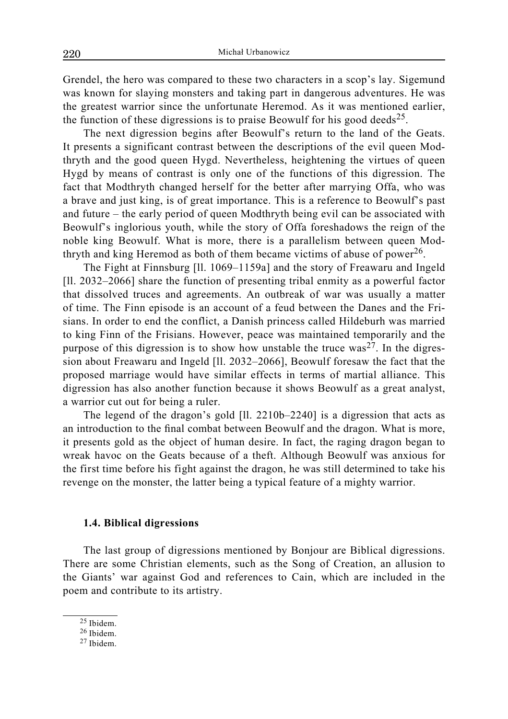Grendel, the hero was compared to these two characters in a scop's lay. Sigemund was known for slaying monsters and taking part in dangerous adventures. He was the greatest warrior since the unfortunate Heremod. As it was mentioned earlier, the function of these digressions is to praise Beowulf for his good deeds<sup>25</sup>.

The next digression begins after Beowulf's return to the land of the Geats. It presents a significant contrast between the descriptions of the evil queen Modthryth and the good queen Hygd. Nevertheless, heightening the virtues of queen Hygd by means of contrast is only one of the functions of this digression. The fact that Modthryth changed herself for the better after marrying Offa, who was a brave and just king, is of great importance. This is a reference to Beowulf's past and future – the early period of queen Modthryth being evil can be associated with Beowulf's inglorious youth, while the story of Offa foreshadows the reign of the noble king Beowulf. What is more, there is a parallelism between queen Modthryth and king Heremod as both of them became victims of abuse of power<sup>26</sup>.

The Fight at Finnsburg [ll. 1069–1159a] and the story of Freawaru and Ingeld [Il. 2032–2066] share the function of presenting tribal enmity as a powerful factor that dissolved truces and agreements. An outbreak of war was usually a matter of time. The Finn episode is an account of a feud between the Danes and the Frisians. In order to end the conflict, a Danish princess called Hildeburh was married to king Finn of the Frisians. However, peace was maintained temporarily and the purpose of this digression is to show how unstable the truce  $was^{27}$ . In the digression about Freawaru and Ingeld [ll. 2032–2066], Beowulf foresaw the fact that the proposed marriage would have similar effects in terms of martial alliance. This digression has also another function because it shows Beowulf as a great analyst, a warrior cut out for being a ruler.

The legend of the dragon's gold [ll. 2210b–2240] is a digression that acts as an introduction to the final combat between Beowulf and the dragon. What is more, it presents gold as the object of human desire. In fact, the raging dragon began to wreak havoc on the Geats because of a theft. Although Beowulf was anxious for the first time before his fight against the dragon, he was still determined to take his revenge on the monster, the latter being a typical feature of a mighty warrior.

#### **1.4. Biblical digressions**

The last group of digressions mentioned by Bonjour are Biblical digressions. There are some Christian elements, such as the Song of Creation, an allusion to the Giants' war against God and references to Cain, which are included in the poem and contribute to its artistry.

<sup>25</sup> Ibidem.

<sup>26</sup> Ibidem.

<sup>27</sup> Ibidem.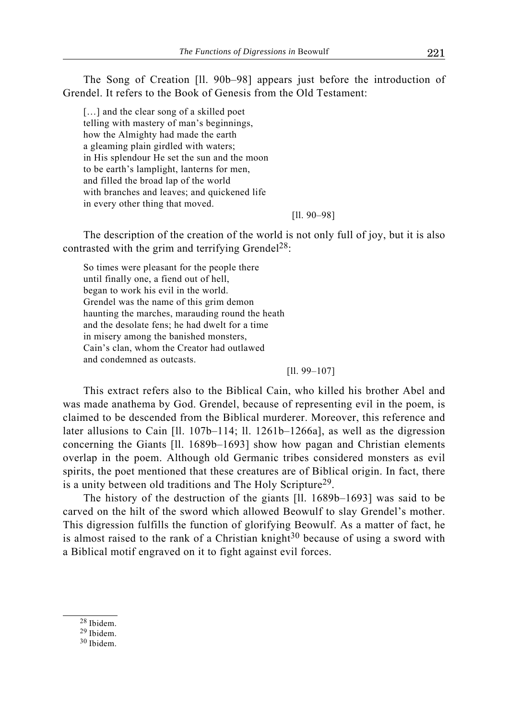The Song of Creation [ll. 90b–98] appears just before the introduction of Grendel. It refers to the Book of Genesis from the Old Testament:

[...] and the clear song of a skilled poet telling with mastery of man's beginnings, how the Almighty had made the earth a gleaming plain girdled with waters; in His splendour He set the sun and the moon to be earth's lamplight, lanterns for men, and filled the broad lap of the world with branches and leaves; and quickened life in every other thing that moved.

[ll. 90–98]

The description of the creation of the world is not only full of joy, but it is also contrasted with the grim and terrifying Grendel<sup>28</sup>:

So times were pleasant for the people there until finally one, a fiend out of hell, began to work his evil in the world. Grendel was the name of this grim demon haunting the marches, marauding round the heath and the desolate fens; he had dwelt for a time in misery among the banished monsters, Cain's clan, whom the Creator had outlawed and condemned as outcasts.

[ll. 99–107]

This extract refers also to the Biblical Cain, who killed his brother Abel and was made anathema by God. Grendel, because of representing evil in the poem, is claimed to be descended from the Biblical murderer. Moreover, this reference and later allusions to Cain [ll. 107b–114; ll. 1261b–1266a], as well as the digression concerning the Giants [ll. 1689b–1693] show how pagan and Christian elements overlap in the poem. Although old Germanic tribes considered monsters as evil spirits, the poet mentioned that these creatures are of Biblical origin. In fact, there is a unity between old traditions and The Holy Scripture<sup>29</sup>.

The history of the destruction of the giants [ll. 1689b–1693] was said to be carved on the hilt of the sword which allowed Beowulf to slay Grendel's mother. This digression fulfills the function of glorifying Beowulf. As a matter of fact, he is almost raised to the rank of a Christian knight<sup>30</sup> because of using a sword with a Biblical motif engraved on it to fight against evil forces.

- 28 Ibidem.
- 29 Ibidem.

<sup>30</sup> Ibidem.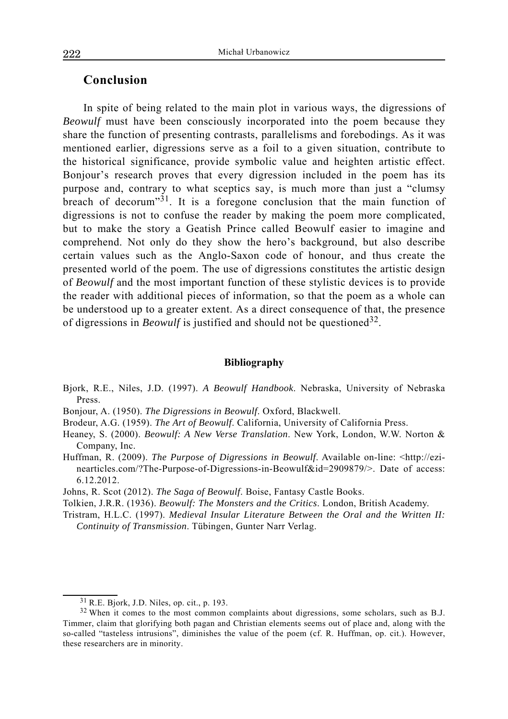## **Conclusion**

In spite of being related to the main plot in various ways, the digressions of *Beowulf* must have been consciously incorporated into the poem because they share the function of presenting contrasts, parallelisms and forebodings. As it was mentioned earlier, digressions serve as a foil to a given situation, contribute to the historical significance, provide symbolic value and heighten artistic effect. Bonjour's research proves that every digression included in the poem has its purpose and, contrary to what sceptics say, is much more than just a "clumsy breach of decorum<sup>"31</sup>. It is a foregone conclusion that the main function of digressions is not to confuse the reader by making the poem more complicated, but to make the story a Geatish Prince called Beowulf easier to imagine and comprehend. Not only do they show the hero's background, but also describe certain values such as the Anglo-Saxon code of honour, and thus create the presented world of the poem. The use of digressions constitutes the artistic design of *Beowulf* and the most important function of these stylistic devices is to provide the reader with additional pieces of information, so that the poem as a whole can be understood up to a greater extent. As a direct consequence of that, the presence of digressions in *Beowulf* is justified and should not be questioned<sup>32</sup>.

#### **Bibliography**

- Bjork, R.E., Niles, J.D. (1997). *A Beowulf Handbook*. Nebraska, University of Nebraska Press.
- Bonjour, A. (1950). *The Digressions in Beowulf*. Oxford, Blackwell.
- Brodeur, A.G. (1959). *The Art of Beowulf*. California, University of California Press.
- Heaney, S. (2000). *Beowulf: A New Verse Translation*. New York, London, W.W. Norton & Company, Inc.
- Huffman, R. (2009). *The Purpose of Digressions in Beowulf*. Available on-line: <http://ezinearticles.com/?The-Purpose-of-Digressions-in-Beowulf&id=2909879/>. Date of access: 6.12.2012.
- Johns, R. Scot (2012). *The Saga of Beowulf*. Boise, Fantasy Castle Books.
- Tolkien, J.R.R. (1936). *Beowulf: The Monsters and the Critics*. London, British Academy.
- Tristram, H.L.C. (1997). *Medieval Insular Literature Between the Oral and the Written II: Continuity of Transmission*. Tübingen, Gunter Narr Verlag.

<sup>31</sup> R.E. Bjork, J.D. Niles, op. cit., p. 193.

<sup>32</sup> When it comes to the most common complaints about digressions, some scholars, such as B.J. Timmer, claim that glorifying both pagan and Christian elements seems out of place and, along with the so-called "tasteless intrusions", diminishes the value of the poem (cf. R. Huffman, op. cit.). However, these researchers are in minority.